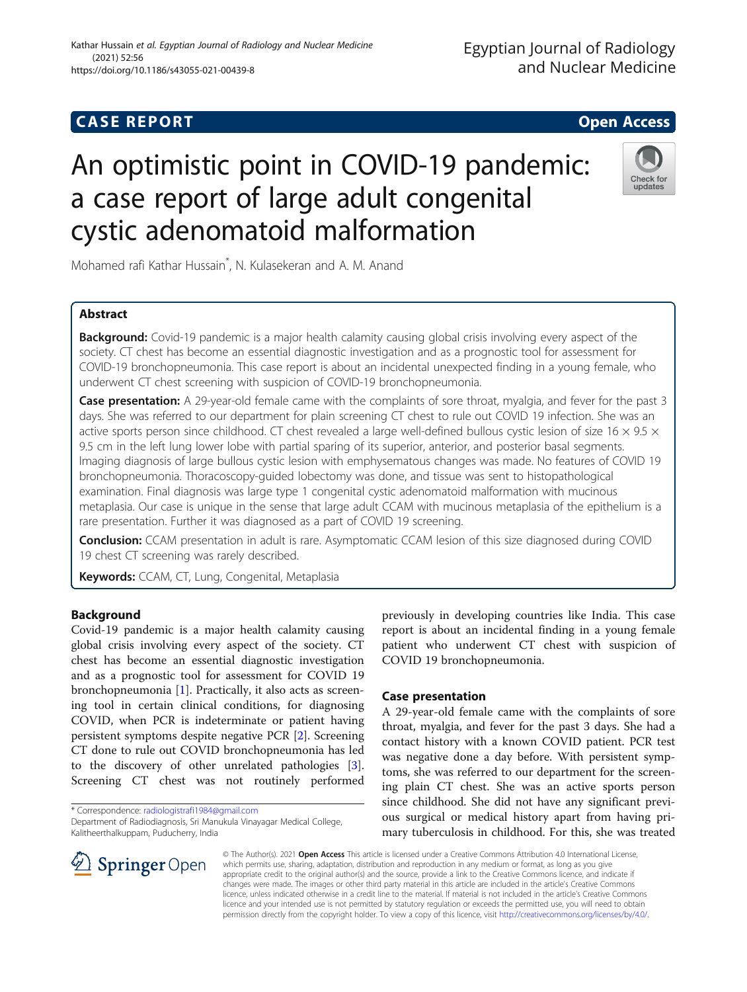# An optimistic point in COVID-19 pandemic: a case report of large adult congenital cystic adenomatoid malformation

Mohamed rafi Kathar Hussain\* , N. Kulasekeran and A. M. Anand

# Abstract

**Background:** Covid-19 pandemic is a major health calamity causing global crisis involving every aspect of the society. CT chest has become an essential diagnostic investigation and as a prognostic tool for assessment for COVID-19 bronchopneumonia. This case report is about an incidental unexpected finding in a young female, who underwent CT chest screening with suspicion of COVID-19 bronchopneumonia.

Case presentation: A 29-year-old female came with the complaints of sore throat, myalgia, and fever for the past 3 days. She was referred to our department for plain screening CT chest to rule out COVID 19 infection. She was an active sports person since childhood. CT chest revealed a large well-defined bullous cystic lesion of size 16  $\times$  9.5  $\times$ 9.5 cm in the left lung lower lobe with partial sparing of its superior, anterior, and posterior basal segments. Imaging diagnosis of large bullous cystic lesion with emphysematous changes was made. No features of COVID 19 bronchopneumonia. Thoracoscopy-guided lobectomy was done, and tissue was sent to histopathological examination. Final diagnosis was large type 1 congenital cystic adenomatoid malformation with mucinous metaplasia. Our case is unique in the sense that large adult CCAM with mucinous metaplasia of the epithelium is a rare presentation. Further it was diagnosed as a part of COVID 19 screening.

Conclusion: CCAM presentation in adult is rare. Asymptomatic CCAM lesion of this size diagnosed during COVID 19 chest CT screening was rarely described.

Keywords: CCAM, CT, Lung, Congenital, Metaplasia

## Background

Covid-19 pandemic is a major health calamity causing global crisis involving every aspect of the society. CT chest has become an essential diagnostic investigation and as a prognostic tool for assessment for COVID 19 bronchopneumonia [\[1\]](#page-3-0). Practically, it also acts as screening tool in certain clinical conditions, for diagnosing COVID, when PCR is indeterminate or patient having persistent symptoms despite negative PCR [\[2](#page-3-0)]. Screening CT done to rule out COVID bronchopneumonia has led to the discovery of other unrelated pathologies [\[3](#page-3-0)]. Screening CT chest was not routinely performed

\* Correspondence: [radiologistrafi1984@gmail.com](mailto:radiologistrafi1984@gmail.com)

 $\mathcal{L}$  Springer Open

previously in developing countries like India. This case report is about an incidental finding in a young female patient who underwent CT chest with suspicion of COVID 19 bronchopneumonia.

## Case presentation

A 29-year-old female came with the complaints of sore throat, myalgia, and fever for the past 3 days. She had a contact history with a known COVID patient. PCR test was negative done a day before. With persistent symptoms, she was referred to our department for the screening plain CT chest. She was an active sports person since childhood. She did not have any significant previous surgical or medical history apart from having primary tuberculosis in childhood. For this, she was treated

© The Author(s). 2021 Open Access This article is licensed under a Creative Commons Attribution 4.0 International License, which permits use, sharing, adaptation, distribution and reproduction in any medium or format, as long as you give appropriate credit to the original author(s) and the source, provide a link to the Creative Commons licence, and indicate if changes were made. The images or other third party material in this article are included in the article's Creative Commons licence, unless indicated otherwise in a credit line to the material. If material is not included in the article's Creative Commons licence and your intended use is not permitted by statutory regulation or exceeds the permitted use, you will need to obtain permission directly from the copyright holder. To view a copy of this licence, visit <http://creativecommons.org/licenses/by/4.0/>.





Department of Radiodiagnosis, Sri Manukula Vinayagar Medical College, Kalitheerthalkuppam, Puducherry, India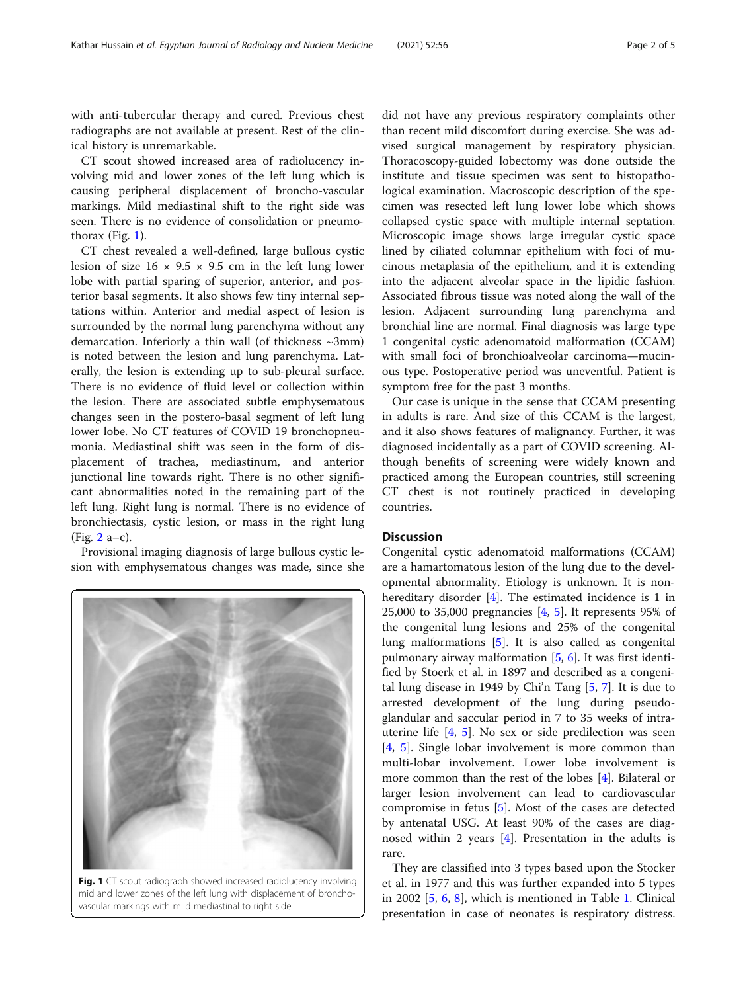CT scout showed increased area of radiolucency involving mid and lower zones of the left lung which is causing peripheral displacement of broncho-vascular markings. Mild mediastinal shift to the right side was seen. There is no evidence of consolidation or pneumothorax (Fig. 1).

CT chest revealed a well-defined, large bullous cystic lesion of size  $16 \times 9.5 \times 9.5$  cm in the left lung lower lobe with partial sparing of superior, anterior, and posterior basal segments. It also shows few tiny internal septations within. Anterior and medial aspect of lesion is surrounded by the normal lung parenchyma without any demarcation. Inferiorly a thin wall (of thickness ~3mm) is noted between the lesion and lung parenchyma. Laterally, the lesion is extending up to sub-pleural surface. There is no evidence of fluid level or collection within the lesion. There are associated subtle emphysematous changes seen in the postero-basal segment of left lung lower lobe. No CT features of COVID 19 bronchopneumonia. Mediastinal shift was seen in the form of displacement of trachea, mediastinum, and anterior junctional line towards right. There is no other significant abnormalities noted in the remaining part of the left lung. Right lung is normal. There is no evidence of bronchiectasis, cystic lesion, or mass in the right lung  $(Fig. 2 a-c).$  $(Fig. 2 a-c).$  $(Fig. 2 a-c).$ 

Provisional imaging diagnosis of large bullous cystic lesion with emphysematous changes was made, since she



Fig. 1 CT scout radiograph showed increased radiolucency involving mid and lower zones of the left lung with displacement of bronchovascular markings with mild mediastinal to right side

did not have any previous respiratory complaints other than recent mild discomfort during exercise. She was advised surgical management by respiratory physician. Thoracoscopy-guided lobectomy was done outside the institute and tissue specimen was sent to histopathological examination. Macroscopic description of the specimen was resected left lung lower lobe which shows collapsed cystic space with multiple internal septation. Microscopic image shows large irregular cystic space lined by ciliated columnar epithelium with foci of mucinous metaplasia of the epithelium, and it is extending into the adjacent alveolar space in the lipidic fashion. Associated fibrous tissue was noted along the wall of the lesion. Adjacent surrounding lung parenchyma and bronchial line are normal. Final diagnosis was large type 1 congenital cystic adenomatoid malformation (CCAM) with small foci of bronchioalveolar carcinoma—mucinous type. Postoperative period was uneventful. Patient is symptom free for the past 3 months.

Our case is unique in the sense that CCAM presenting in adults is rare. And size of this CCAM is the largest, and it also shows features of malignancy. Further, it was diagnosed incidentally as a part of COVID screening. Although benefits of screening were widely known and practiced among the European countries, still screening CT chest is not routinely practiced in developing countries.

## **Discussion**

Congenital cystic adenomatoid malformations (CCAM) are a hamartomatous lesion of the lung due to the developmental abnormality. Etiology is unknown. It is non-hereditary disorder [[4\]](#page-3-0). The estimated incidence is 1 in 25,000 to 35,000 pregnancies [\[4](#page-3-0), [5\]](#page-3-0). It represents 95% of the congenital lung lesions and 25% of the congenital lung malformations [\[5](#page-3-0)]. It is also called as congenital pulmonary airway malformation [[5,](#page-3-0) [6](#page-3-0)]. It was first identified by Stoerk et al. in 1897 and described as a congenital lung disease in 1949 by Chi'n Tang [[5,](#page-3-0) [7\]](#page-3-0). It is due to arrested development of the lung during pseudoglandular and saccular period in 7 to 35 weeks of intrauterine life [\[4](#page-3-0), [5](#page-3-0)]. No sex or side predilection was seen [[4,](#page-3-0) [5](#page-3-0)]. Single lobar involvement is more common than multi-lobar involvement. Lower lobe involvement is more common than the rest of the lobes [[4](#page-3-0)]. Bilateral or larger lesion involvement can lead to cardiovascular compromise in fetus [[5\]](#page-3-0). Most of the cases are detected by antenatal USG. At least 90% of the cases are diagnosed within 2 years  $[4]$ . Presentation in the adults is rare.

They are classified into 3 types based upon the Stocker et al. in 1977 and this was further expanded into 5 types in 2002 [[5,](#page-3-0) [6,](#page-3-0) [8](#page-3-0)], which is mentioned in Table [1](#page-2-0). Clinical presentation in case of neonates is respiratory distress.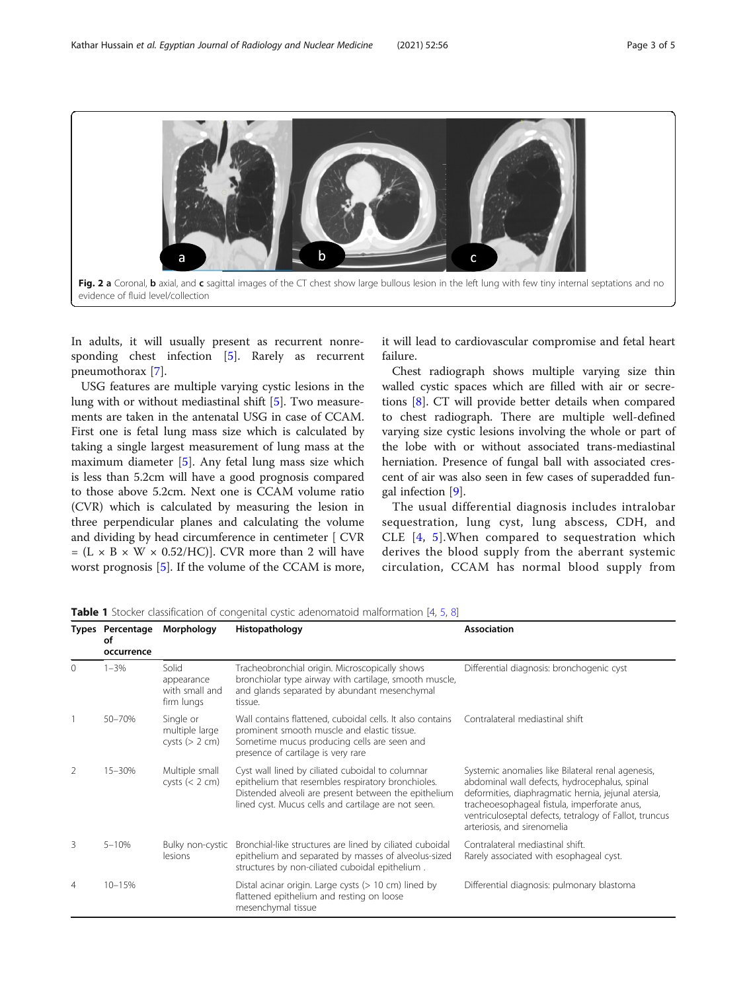<span id="page-2-0"></span>

In adults, it will usually present as recurrent nonre-sponding chest infection [\[5](#page-3-0)]. Rarely as recurrent pneumothorax [[7\]](#page-3-0).

USG features are multiple varying cystic lesions in the lung with or without mediastinal shift [\[5](#page-3-0)]. Two measurements are taken in the antenatal USG in case of CCAM. First one is fetal lung mass size which is calculated by taking a single largest measurement of lung mass at the maximum diameter [\[5](#page-3-0)]. Any fetal lung mass size which is less than 5.2cm will have a good prognosis compared to those above 5.2cm. Next one is CCAM volume ratio (CVR) which is calculated by measuring the lesion in three perpendicular planes and calculating the volume and dividing by head circumference in centimeter [ CVR  $= (L \times B \times W \times 0.52/H)$ . CVR more than 2 will have worst prognosis [[5\]](#page-3-0). If the volume of the CCAM is more,

it will lead to cardiovascular compromise and fetal heart failure.

Chest radiograph shows multiple varying size thin walled cystic spaces which are filled with air or secretions [[8\]](#page-3-0). CT will provide better details when compared to chest radiograph. There are multiple well-defined varying size cystic lesions involving the whole or part of the lobe with or without associated trans-mediastinal herniation. Presence of fungal ball with associated crescent of air was also seen in few cases of superadded fungal infection [\[9](#page-4-0)].

The usual differential diagnosis includes intralobar sequestration, lung cyst, lung abscess, CDH, and CLE [[4](#page-3-0), [5](#page-3-0)].When compared to sequestration which derives the blood supply from the aberrant systemic circulation, CCAM has normal blood supply from

|          | <b>Types Percentage</b><br>οf<br>occurrence | Morphology                                          | Histopathology                                                                                                                                                                                                        | <b>Association</b>                                                                                                                                                                                                                                                                                 |
|----------|---------------------------------------------|-----------------------------------------------------|-----------------------------------------------------------------------------------------------------------------------------------------------------------------------------------------------------------------------|----------------------------------------------------------------------------------------------------------------------------------------------------------------------------------------------------------------------------------------------------------------------------------------------------|
| $\Omega$ | $1 - 3%$                                    | Solid<br>appearance<br>with small and<br>firm lungs | Tracheobronchial origin. Microscopically shows<br>bronchiolar type airway with cartilage, smooth muscle,<br>and glands separated by abundant mesenchymal<br>tissue.                                                   | Differential diagnosis: bronchogenic cyst                                                                                                                                                                                                                                                          |
|          | 50-70%                                      | Single or<br>multiple large<br>cysts (> 2 cm)       | Wall contains flattened, cuboidal cells. It also contains<br>prominent smooth muscle and elastic tissue.<br>Sometime mucus producing cells are seen and<br>presence of cartilage is very rare                         | Contralateral mediastinal shift                                                                                                                                                                                                                                                                    |
| 2        | 15-30%                                      | Multiple small<br>cysts $(< 2 cm)$                  | Cyst wall lined by ciliated cuboidal to columnar<br>epithelium that resembles respiratory bronchioles.<br>Distended alveoli are present between the epithelium<br>lined cyst. Mucus cells and cartilage are not seen. | Systemic anomalies like Bilateral renal agenesis,<br>abdominal wall defects, hydrocephalus, spinal<br>deformities, diaphragmatic hernia, jejunal atersia,<br>tracheoesophageal fistula, imperforate anus,<br>ventriculoseptal defects, tetralogy of Fallot, truncus<br>arteriosis, and sirenomelia |
| 3        | $5 - 10%$                                   | Bulky non-cystic<br>lesions                         | Bronchial-like structures are lined by ciliated cuboidal<br>epithelium and separated by masses of alveolus-sized<br>structures by non-ciliated cuboidal epithelium.                                                   | Contralateral mediastinal shift.<br>Rarely associated with esophageal cyst.                                                                                                                                                                                                                        |
| 4        | $10 - 15%$                                  |                                                     | Distal acinar origin. Large cysts $(> 10 \text{ cm})$ lined by<br>flattened epithelium and resting on loose<br>mesenchymal tissue                                                                                     | Differential diagnosis: pulmonary blastoma                                                                                                                                                                                                                                                         |

Table 1 Stocker classification of congenital cystic adenomatoid malformation [[4,](#page-3-0) [5](#page-3-0), [8\]](#page-3-0)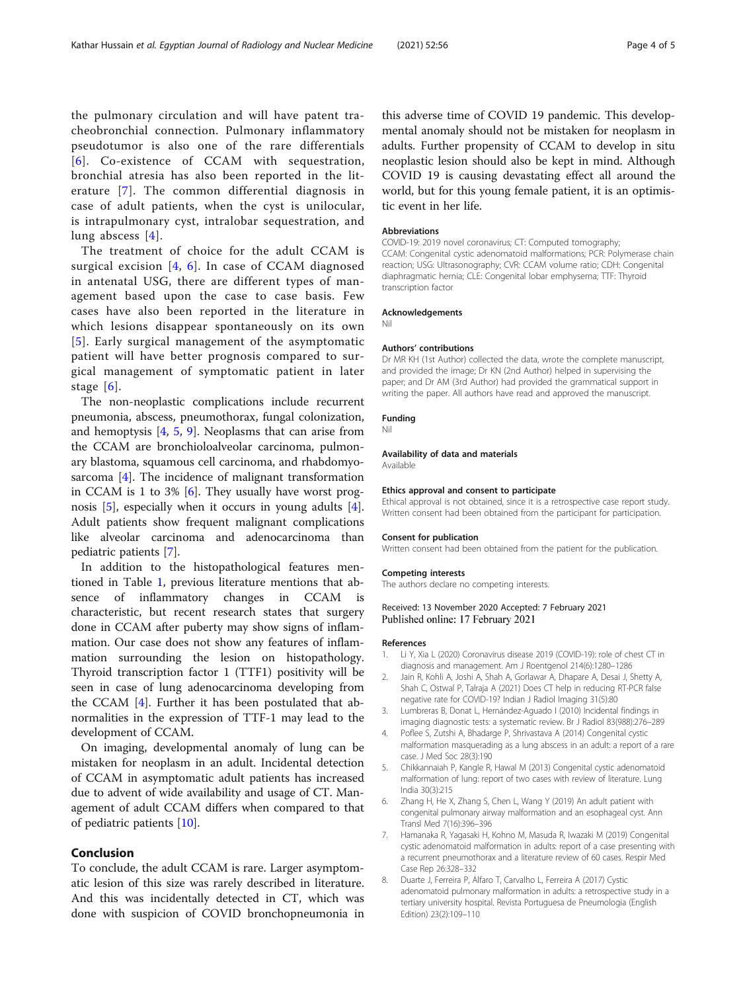<span id="page-3-0"></span>the pulmonary circulation and will have patent tracheobronchial connection. Pulmonary inflammatory pseudotumor is also one of the rare differentials [6]. Co-existence of CCAM with sequestration, bronchial atresia has also been reported in the literature [7]. The common differential diagnosis in case of adult patients, when the cyst is unilocular, is intrapulmonary cyst, intralobar sequestration, and lung abscess [4].

The treatment of choice for the adult CCAM is surgical excision  $[4, 6]$ . In case of CCAM diagnosed in antenatal USG, there are different types of management based upon the case to case basis. Few cases have also been reported in the literature in which lesions disappear spontaneously on its own [5]. Early surgical management of the asymptomatic patient will have better prognosis compared to surgical management of symptomatic patient in later stage  $[6]$ .

The non-neoplastic complications include recurrent pneumonia, abscess, pneumothorax, fungal colonization, and hemoptysis  $[4, 5, 9]$  $[4, 5, 9]$ . Neoplasms that can arise from the CCAM are bronchioloalveolar carcinoma, pulmonary blastoma, squamous cell carcinoma, and rhabdomyosarcoma [4]. The incidence of malignant transformation in CCAM is 1 to 3%  $[6]$ . They usually have worst prognosis [5], especially when it occurs in young adults [4]. Adult patients show frequent malignant complications like alveolar carcinoma and adenocarcinoma than pediatric patients [7].

In addition to the histopathological features mentioned in Table [1](#page-2-0), previous literature mentions that absence of inflammatory changes in CCAM is characteristic, but recent research states that surgery done in CCAM after puberty may show signs of inflammation. Our case does not show any features of inflammation surrounding the lesion on histopathology. Thyroid transcription factor 1 (TTF1) positivity will be seen in case of lung adenocarcinoma developing from the CCAM [4]. Further it has been postulated that abnormalities in the expression of TTF-1 may lead to the development of CCAM.

On imaging, developmental anomaly of lung can be mistaken for neoplasm in an adult. Incidental detection of CCAM in asymptomatic adult patients has increased due to advent of wide availability and usage of CT. Management of adult CCAM differs when compared to that of pediatric patients [\[10](#page-4-0)].

## Conclusion

To conclude, the adult CCAM is rare. Larger asymptomatic lesion of this size was rarely described in literature. And this was incidentally detected in CT, which was done with suspicion of COVID bronchopneumonia in this adverse time of COVID 19 pandemic. This developmental anomaly should not be mistaken for neoplasm in adults. Further propensity of CCAM to develop in situ neoplastic lesion should also be kept in mind. Although COVID 19 is causing devastating effect all around the world, but for this young female patient, it is an optimistic event in her life.

## Abbreviations

COVID-19: 2019 novel coronavirus; CT: Computed tomography; CCAM: Congenital cystic adenomatoid malformations; PCR: Polymerase chain reaction; USG: Ultrasonography; CVR: CCAM volume ratio; CDH: Congenital diaphragmatic hernia; CLE: Congenital lobar emphysema; TTF: Thyroid transcription factor

#### Acknowledgements Nil

#### Authors' contributions

Dr MR KH (1st Author) collected the data, wrote the complete manuscript, and provided the image; Dr KN (2nd Author) helped in supervising the paper; and Dr AM (3rd Author) had provided the grammatical support in writing the paper. All authors have read and approved the manuscript.

#### Funding

#### Nil

#### Availability of data and materials

Available

## Ethics approval and consent to participate

Ethical approval is not obtained, since it is a retrospective case report study. Written consent had been obtained from the participant for participation.

#### Consent for publication

Written consent had been obtained from the patient for the publication.

# Competing interests

The authors declare no competing interests.

## Received: 13 November 2020 Accepted: 7 February 2021 Published online: 17 February 2021

#### References

- 1. Li Y, Xia L (2020) Coronavirus disease 2019 (COVID-19): role of chest CT in diagnosis and management. Am J Roentgenol 214(6):1280–1286
- 2. Jain R, Kohli A, Joshi A, Shah A, Gorlawar A, Dhapare A, Desai J, Shetty A, Shah C, Ostwal P, Talraja A (2021) Does CT help in reducing RT-PCR false negative rate for COVID-19? Indian J Radiol Imaging 31(5):80
- 3. Lumbreras B, Donat L, Hernández-Aguado I (2010) Incidental findings in imaging diagnostic tests: a systematic review. Br J Radiol 83(988):276–289
- Poflee S, Zutshi A, Bhadarge P, Shrivastava A (2014) Congenital cystic malformation masquerading as a lung abscess in an adult: a report of a rare case. J Med Soc 28(3):190
- 5. Chikkannaiah P, Kangle R, Hawal M (2013) Congenital cystic adenomatoid malformation of lung: report of two cases with review of literature. Lung India 30(3):215
- 6. Zhang H, He X, Zhang S, Chen L, Wang Y (2019) An adult patient with congenital pulmonary airway malformation and an esophageal cyst. Ann Transl Med 7(16):396–396
- 7. Hamanaka R, Yagasaki H, Kohno M, Masuda R, Iwazaki M (2019) Congenital cystic adenomatoid malformation in adults: report of a case presenting with a recurrent pneumothorax and a literature review of 60 cases. Respir Med Case Rep 26:328–332
- 8. Duarte J, Ferreira P, Alfaro T, Carvalho L, Ferreira A (2017) Cystic adenomatoid pulmonary malformation in adults: a retrospective study in a tertiary university hospital. Revista Portuguesa de Pneumologia (English Edition) 23(2):109–110